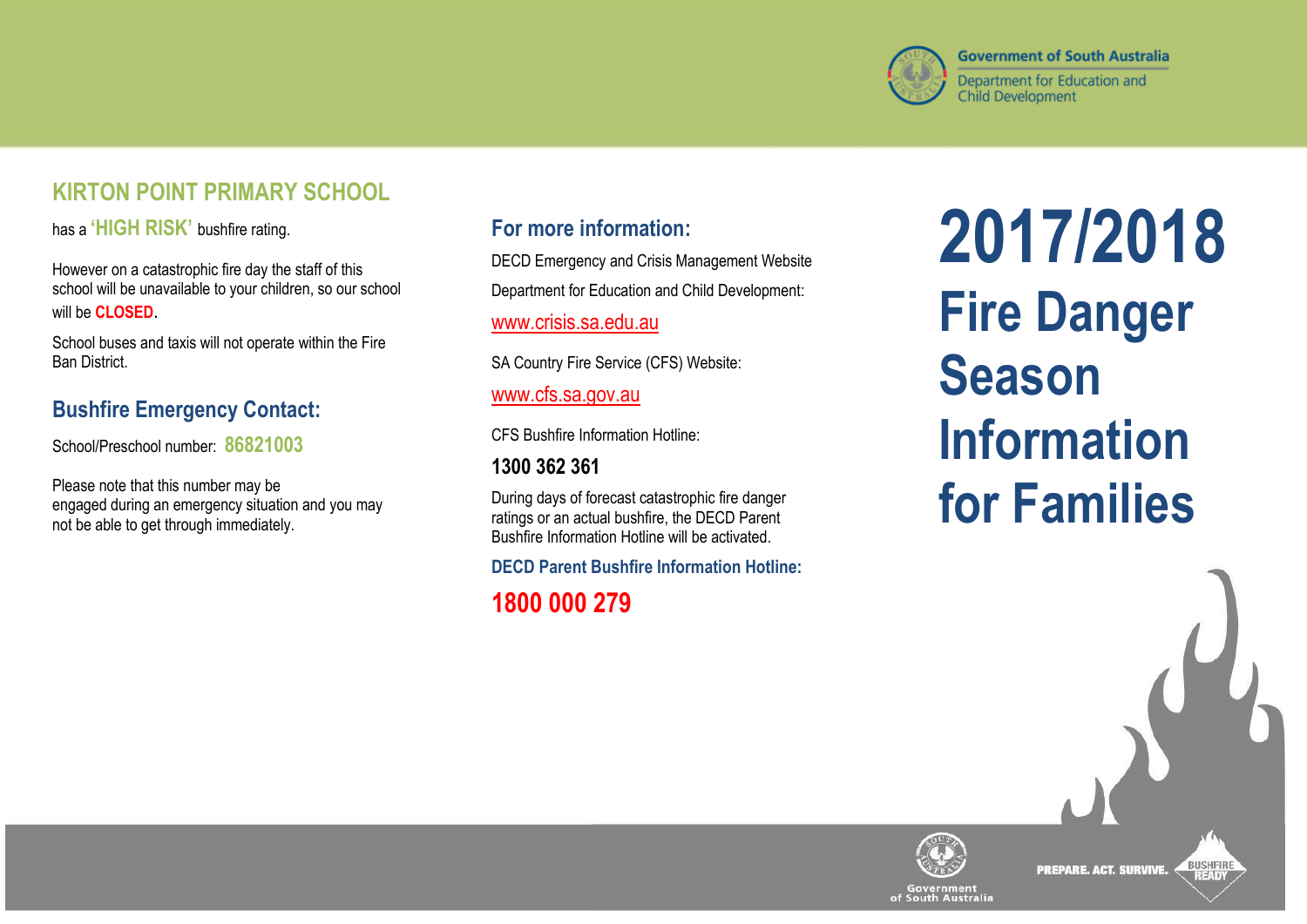

# **KIRTON POINT PRIMARY SCHOOL**

has a **'HIGH RISK'** bushfire rating.

However on a catastrophic fire day the staff of this school will be unavailable to your children, so our school will be **CLOSED**.

School buses and taxis will not operate within the Fire Ban District.

# **Bushfire Emergency Contact:**

School/Preschool number: **86821003**

Please note that this number may be engaged during an emergency situation and you may not be able to get through immediately.

### **For more information:**

DECD Emergency and Crisis Management Website Department for Education and Child Development:

[www.crisis.sa.edu.au](http://www.crisis.sa.edu.au/)

SA Country Fire Service (CFS) Website:

#### [www.cfs.sa.gov.au](http://www.cfs.sa.gov.au/)

CFS Bushfire Information Hotline:

## **1300 362 361**

During days of forecast catastrophic fire danger ratings or an actual bushfire, the DECD Parent Bushfire Information Hotline will be activated.

**DECD Parent Bushfire Information Hotline:**

# **1800 000 279**

**2017/2018 Fire Danger Season Information for Families**